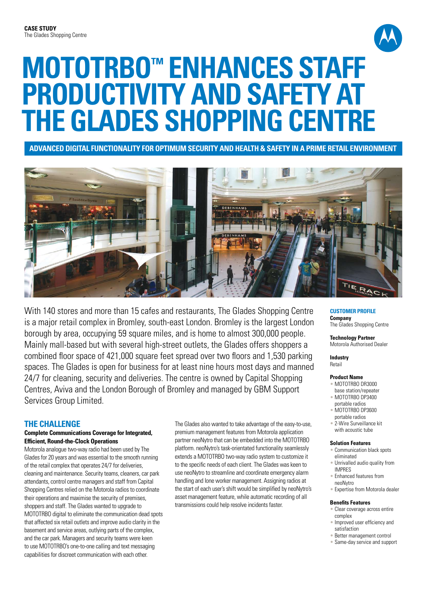

# **MOTOTRBO™ Enhances Staff Productivity and Safety at The Glades Shopping Centre**

**Advanced Digital Functionality for Optimum Security and Health & Safety in a Prime Retail Environment**



With 140 stores and more than 15 cafes and restaurants. The Glades Shopping Centre is a major retail complex in Bromley, south-east London. Bromley is the largest London borough by area, occupying 59 square miles, and is home to almost 300,000 people. Mainly mall-based but with several high-street outlets, the Glades offers shoppers a combined floor space of 421,000 square feet spread over two floors and 1,530 parking spaces. The Glades is open for business for at least nine hours most days and manned 24/7 for cleaning, security and deliveries. The centre is owned by Capital Shopping Centres, Aviva and the London Borough of Bromley and managed by GBM Support Services Group Limited.

## **THE CHALLENGE**

## **Complete Communications Coverage for Integrated, Efficient, Round-the-Clock Operations**

Motorola analogue two-way radio had been used by The Glades for 20 years and was essential to the smooth running of the retail complex that operates 24/7 for deliveries, cleaning and maintenance. Security teams, cleaners, car park attendants, control centre managers and staff from Capital Shopping Centres relied on the Motorola radios to coordinate their operations and maximise the security of premises, shoppers and staff. The Glades wanted to upgrade to MOTOTRBO digital to eliminate the communication dead spots that affected six retail outlets and improve audio clarity in the basement and service areas, outlying parts of the complex, and the car park. Managers and security teams were keen to use MOTOTRBO's one-to-one calling and text messaging capabilities for discreet communication with each other.

The Glades also wanted to take advantage of the easy-to-use, premium management features from Motorola application partner neoNytro that can be embedded into the MOTOTRBO platform. neoNytro's task-orientated functionality seamlessly extends a MOTOTRBO two-way radio system to customize it to the specific needs of each client. The Glades was keen to use neoNytro to streamline and coordinate emergency alarm handling and lone worker management. Assigning radios at the start of each user's shift would be simplified by neoNytro's asset management feature, while automatic recording of all transmissions could help resolve incidents faster.

#### **CUSTOMER PROFILE Company**

The Glades Shopping Centre

**Technology Partner** Motorola Authorised Dealer

**Industry** Retail

#### **Product Name**

- MOTOTRBO DR3000
- base station/repeater • MOTOTRBO DP3400
- portable radios
- MOTOTRBO DP3600 portable radios
- 2-Wire Surveillance kit with acoustic tube

#### **Solution Features**

- Communication black spots eliminated
- Unrivalled audio quality from IMPRES
- Enhanced features from neoNytro
- Expertise from Motorola dealer

#### **Benefits Features**

- Clear coverage across entire complex • Improved user efficiency and
- satisfaction
- Better management control
- Same-day service and support